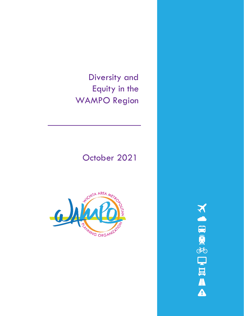Diversity and Equity in the WAMPO Region

# October 2021



**NORTHERA**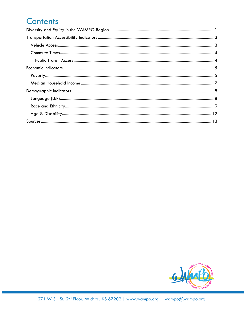## **Contents**

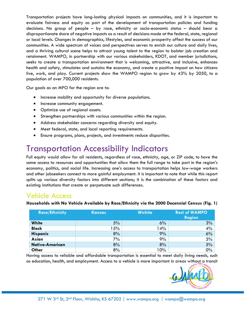Transportation projects have long-lasting physical impacts on communities, and it is important to evaluate fairness and equity as part of the development of transportation policies and funding decisions. No group of people – by race, ethnicity or socio-economic status – should bear a disproportionate share of negative impacts as a result of decisions made at the federal, state, regional or local levels. Changes in demographics, lifestyles, and economic prosperity affect the success of our communities. A wide spectrum of voices and perspectives serves to enrich our culture and daily lives, and a thriving cultural scene helps to attract young talent to the region to bolster job creation and retainment. WAMPO, in partnership with our various stakeholders, KDOT, and member jurisdictions, seeks to create a transportation environment that is welcoming, attractive, and inclusive, enhances health and safety, stimulates and sustains the economy, and create a positive impact on how citizens live, work, and play. Current projects show the WAMPO region to grow by 43% by 2050, to a population of over 700,000 residents.

Our goals as an MPO for the region are to:

- Increase mobility and opportunity for diverse populations.
- Increase community engagement.
- Optimize use of regional assets.
- Strengthen partnerships with various communities within the region.
- Address stakeholder concerns regarding diversity and equity.
- Meet federal, state, and local reporting requirements.
- Ensure programs, plans, projects, and investments reduce disparities.

## <span id="page-2-0"></span>Transportation Accessibility Indicators

Full equity would allow for all residents, regardless of race, ethnicity, age, or ZIP code, to have the same access to resources and opportunities that allow them the full range to take part in the region's economy, politics, and social life. Increasing one's access to transportation helps low-wage workers and other jobseekers connect to more gainful employment. It is important to note that while this report splits up various diversity factors into different sections; it is the combination of these factors and existing institutions that create or perpetuate such differences.

## <span id="page-2-1"></span>Vehicle Access

**Households with No Vehicle Available by Race/Ethnicity via the 2000 Decennial Census (Fig. 1)**

| <b>Race/Ethnicity</b> | <b>Kansas</b> | <b>Wichita</b> | <b>Rest of WAMPO</b><br><b>Region</b> |
|-----------------------|---------------|----------------|---------------------------------------|
| <b>White</b>          | 5%            | 6%             | 3%                                    |
| <b>Black</b>          | 15%           | 14%            | 4%                                    |
| <b>Hispanic</b>       | 8%            | 9%             | 6%                                    |
| Asian                 | 7%            | 9%             | 5%                                    |
| Native-American       | 8%            | 8%             | 5%                                    |
| <b>Other</b>          | 8%            | 10%            | 0%                                    |

Having access to reliable and affordable transportation is essential to meet daily living needs, such as education, health, and employment. Access to a vehicle is more important in areas without a transit

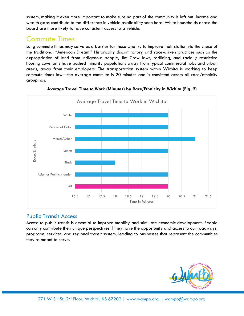system, making it even more important to make sure no part of the community is left out. Income and wealth gaps contribute to the difference in vehicle availability seen here. White households across the board are more likely to have consistent access to a vehicle.

### <span id="page-3-0"></span>Commute Times

Long commute times may serve as a barrier for those who try to improve their station via the chase of the traditional "American Dream." Historically discriminatory and race-driven practices such as the expropriation of land from Indigenous people, Jim Crow laws, redlining, and racially restrictive housing covenants have pushed minority populations away from typical commercial hubs and urban areas, away from their employers. The transportation system within Wichita is working to keep commute times low—the average commute is 20 minutes and is consistent across all race/ethnicity groupings.





### <span id="page-3-1"></span>Public Transit Access

Access to public transit is essential to improve mobility and stimulate economic development. People can only contribute their unique perspectives if they have the opportunity and access to our roadways, programs, services, and regional transit system, leading to businesses that represent the communities they're meant to serve.

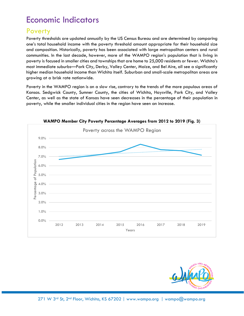## <span id="page-4-0"></span>Economic Indicators

### <span id="page-4-1"></span>**Poverty**

Poverty thresholds are updated annually by the US Census Bureau and are determined by comparing one's total household income with the poverty threshold amount appropriate for their household size and composition. Historically, poverty has been associated with large metropolitan centers and rural communities. In the last decade, however, more of the WAMPO region's population that is living in poverty is focused in smaller cities and townships that are home to 25,000 residents or fewer. Wichita's most immediate suburbs—Park City, Derby, Valley Center, Maize, and Bel Aire, all see a significantly higher median household income than Wichita itself. Suburban and small-scale metropolitan areas are growing at a brisk rate nationwide.

Poverty in the WAMPO region is on a slow rise, contrary to the trends of the more populous areas of Kansas. Sedgwick County, Sumner County, the cities of Wichita, Haysville, Park City, and Valley Center, as well as the state of Kansas have seen decreases in the percentage of their population in poverty, while the smaller individual cities in the region have seen an increase.



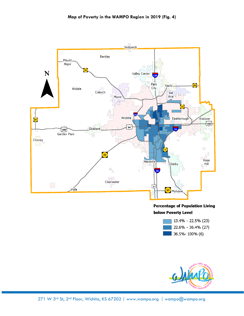

#### **Percentage of Population Living below Poverty Level**



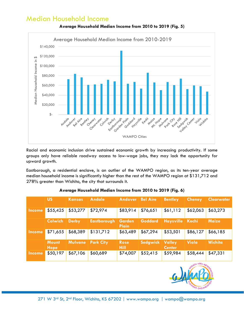## <span id="page-6-0"></span>Median Household Income



**Average Household Median Income from 2010 to 2019 (Fig. 5)**

Racial and economic inclusion drive sustained economic growth by increasing productivity. If some groups only have reliable roadway access to low-wage jobs, they may lack the opportunity for upward growth.

Eastborough, a residential enclave, is an outlier of the WAMPO region, as its ten-year average median household income is significantly higher than the rest of the WAMPO region at \$131,712 and 278% greater than Wichita, the city that surrounds it.

|               | <b>US</b>            | <b>Kansas</b>  | <b>Andale</b>      | <b>Andover</b>         | <b>Bel Aire</b> | <b>Bentley</b>          | <b>Cheney</b> | <b>Clearwater</b> |
|---------------|----------------------|----------------|--------------------|------------------------|-----------------|-------------------------|---------------|-------------------|
| Income        | \$55,425             | \$53,277       | \$72,974           | \$83,914               | \$76,651        | \$61,112                | \$62,063      | \$63,273          |
|               | <b>Colwich</b>       | <b>Derby</b>   | <b>Eastborough</b> | <b>Garden</b><br>Plain | <b>Goddard</b>  | <b>Haysville</b>        | ∣ Kechi       | <b>Maize</b>      |
| Income        | \$71,655             | \$68,389       | \$131,712          | \$63,489               | \$67,294        | \$53,501                | \$86,127      | \$66,185          |
|               | <b>Mount</b><br>Hope | <b>Mulvane</b> | <b>Park City</b>   | <b>Rose</b><br>Hill    | Sedgwick        | Valley<br><b>Center</b> | Viola         | Wichita           |
| <b>Income</b> | \$50,197             | \$67,106       | \$60,689           | \$74,007               | \$52,415        | \$59,984                | \$58,444      | \$47,331          |

#### **Average Household Median Income from 2010 to 2019 (Fig. 6)**

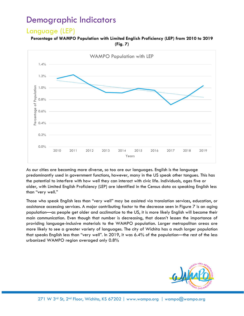## <span id="page-7-0"></span>Demographic Indicators

### <span id="page-7-1"></span>Language (LEP)

#### **Percentage of WAMPO Population with Limited English Proficiency (LEP) from 2010 to 2019 (Fig. 7)**



As our cities are becoming more diverse, so too are our languages. English is the language predominantly used in government functions, however, many in the US speak other tongues. This has the potential to interfere with how well they can interact with civic life. Individuals, ages five or older, with Limited English Proficiency (LEP) are identified in the Census data as speaking English less than "very well."

Those who speak English less than "very well" may be assisted via translation services, education, or assistance accessing services. A major contributing factor to the decrease seen in Figure 7 is an aging population—as people get older and acclimatize to the US, it is more likely English will become their main communication. Even though that number is decreasing, that doesn't lessen the importance of providing language-inclusive materials to the WAMPO population. Larger metropolitan areas are more likely to see a greater variety of languages. The city of Wichita has a much larger population that speaks English less than "very well". In 2019, it was 6.4% of the population—the rest of the less urbanized WAMPO region averaged only 0.8%

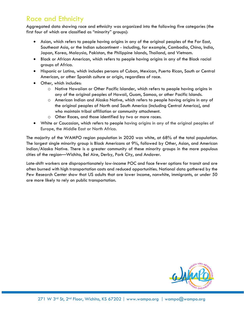## <span id="page-8-0"></span>Race and Ethnicity

Aggregated data showing race and ethnicity was organized into the following five categories (the first four of which are classified as "minority" groups):

- Asian, which refers to people having origins in any of the original peoples of the Far East, Southeast Asia, or the Indian subcontinent - including, for example, Cambodia, China, India, Japan, Korea, Malaysia, Pakistan, the Philippine Islands, Thailand, and Vietnam.
- Black or African American, which refers to people having origins in any of the Black racial groups of Africa.
- Hispanic or Latino, which includes persons of Cuban, Mexican, Puerto Rican, South or Central American, or other Spanish culture or origin, regardless of race.
- Other, which includes:
	- o Native Hawaiian or Other Pacific Islander, which refers to people having origins in any of the original peoples of Hawaii, Guam, Samoa, or other Pacific Islands.
	- o American Indian and Alaska Native, which refers to people having origins in any of the original peoples of North and South America (including Central America), and who maintain tribal affiliation or community attachment.
	- o Other Races, and those identified by two or more races.
- White or Caucasian, which refers to people having origins in any of the original peoples of Europe, the Middle East or North Africa.

The majority of the WAMPO region population in 2020 was white, at 68% of the total population. The largest single minority group is Black Americans at 9%, followed by Other, Asian, and American Indian/Alaska Native. There is a greater community of these minority groups in the more populous cities of the region—Wichita, Bel Aire, Derby, Park City, and Andover.

Late-shift workers are disproportionately low-income POC and face fewer options for transit and are often burned with high transportation costs and reduced opportunities. National data gathered by the Pew Research Center show that US adults that are lower income, nonwhite, immigrants, or under 50 are more likely to rely on public transportation.

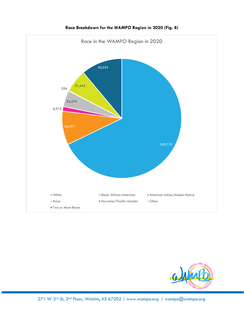

#### **Race Breakdown for the WAMPO Region in 2020 (Fig. 8)**

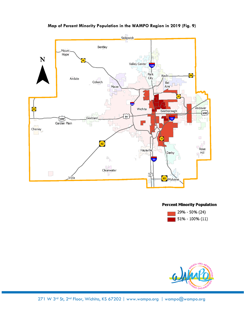

**Map of Percent Minority Population in the WAMPO Region in 2019 (Fig. 9)**

#### **Percent Minority Population**



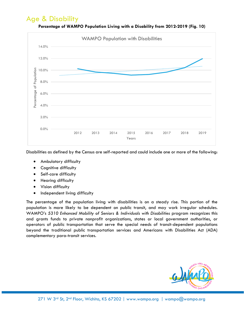## <span id="page-11-0"></span>Age & Disability



**Percentage of WAMPO Population Living with a Disability from 2012-2019 (Fig. 10)**

Disabilities as defined by the Census are self-reported and could include one or more of the following:

- Ambulatory difficulty
- Cognitive difficulty
- Self-care difficulty
- Hearing difficulty
- Vision difficulty
- Independent living difficulty

The percentage of the population living with disabilities is on a steady rise. This portion of the population is more likely to be dependent on public transit, and may work irregular schedules. WAMPO's *5310 Enhanced Mobility of Seniors & Individuals with Disabilities* program recognizes this and grants funds to private nonprofit organizations, states or local government authorities, or operators of public transportation that serve the special needs of transit-dependent populations beyond the traditional public transportation services and Americans with Disabilities Act (ADA) complementary para-transit services.